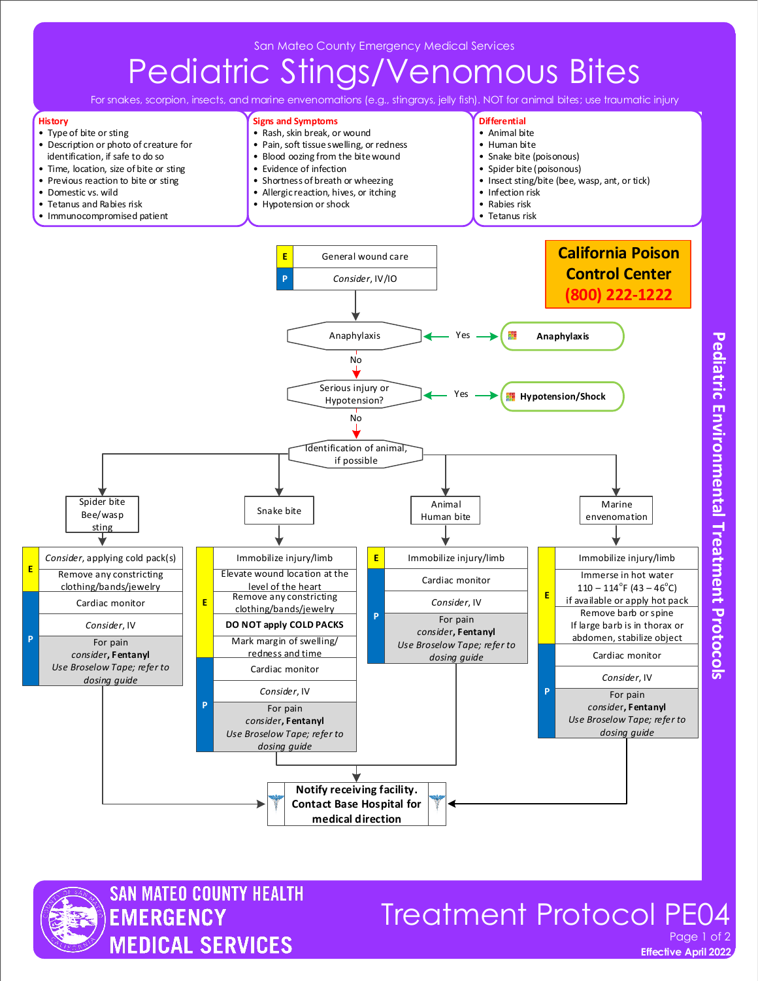# Pediatric Stings/Venomous Bites

For snakes, scorpion, insects, and marine envenomations (e.g., stingrays, jelly fish). NOT for animal bites; use traumatic injury

**Signs and Symptoms** • Rash, skin break, or wound • Pain, soft tissue swelling, or redness • Blood oozing from the bite wound

**Differential** • Animal bite • Human bite

#### **History**

- Type of bite or sting • Description or photo of creature for
- identification, if safe to do so





### Treatment Protocol PE04 Page 1 of 2

**Effective April 2022** 

**Pediatric Environmental Treatment Protocols**